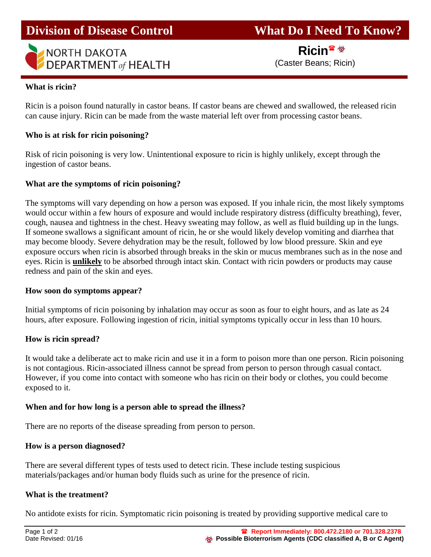

**Division of Disease Control What Do I Need To Know?** 

Ricin<sup>雷堡</sup>

## **What is ricin?**

Ricin is a poison found naturally in castor beans. If castor beans are chewed and swallowed, the released ricin can cause injury. Ricin can be made from the waste material left over from processing castor beans.

## **Who is at risk for ricin poisoning?**

Risk of ricin poisoning is very low. Unintentional exposure to ricin is highly unlikely, except through the ingestion of castor beans.

## **What are the symptoms of ricin poisoning?**

The symptoms will vary depending on how a person was exposed. If you inhale ricin, the most likely symptoms would occur within a few hours of exposure and would include respiratory distress (difficulty breathing), fever, cough, nausea and tightness in the chest. Heavy sweating may follow, as well as fluid building up in the lungs. If someone swallows a significant amount of ricin, he or she would likely develop vomiting and diarrhea that may become bloody. Severe dehydration may be the result, followed by low blood pressure. Skin and eye exposure occurs when ricin is absorbed through breaks in the skin or mucus membranes such as in the nose and eyes. Ricin is **unlikely** to be absorbed through intact skin. Contact with ricin powders or products may cause redness and pain of the skin and eyes.

## **How soon do symptoms appear?**

Initial symptoms of ricin poisoning by inhalation may occur as soon as four to eight hours, and as late as 24 hours, after exposure. Following ingestion of ricin, initial symptoms typically occur in less than 10 hours.

## **How is ricin spread?**

It would take a deliberate act to make ricin and use it in a form to poison more than one person. Ricin poisoning is not contagious. Ricin-associated illness cannot be spread from person to person through casual contact. However, if you come into contact with someone who has ricin on their body or clothes, you could become exposed to it.

## **When and for how long is a person able to spread the illness?**

There are no reports of the disease spreading from person to person.

## **How is a person diagnosed?**

There are several different types of tests used to detect ricin. These include testing suspicious materials/packages and/or human body fluids such as urine for the presence of ricin.

#### **What is the treatment?**

No antidote exists for ricin. Symptomatic ricin poisoning is treated by providing supportive medical care to